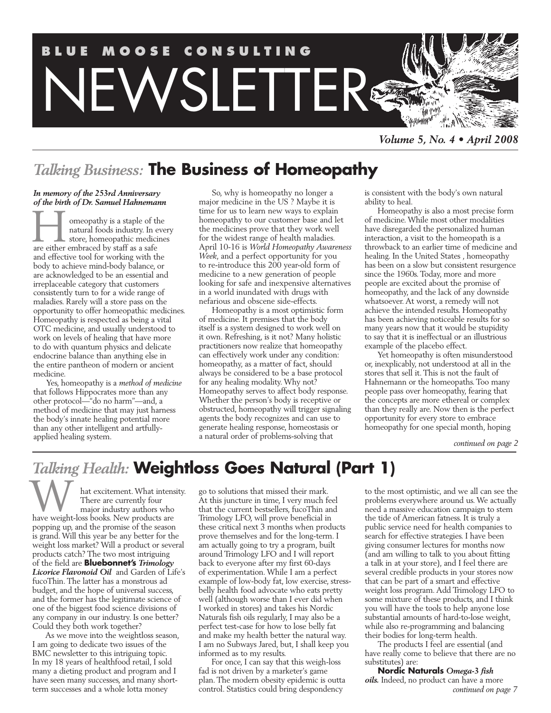

*Volume 5, No. 4 • April 2008*

# *Talking Business:* **The Business of Homeopathy**

#### *In memory of the 253rd Anniversary of the birth of Dr. Samuel Hahnemann*

**THE SET OF STATE OF STATE S**<br>
are either embraced by staff as a safe omeopathy is a staple of the natural foods industry. In every store, homeopathic medicines and effective tool for working with the body to achieve mind-body balance, or are acknowledged to be an essential and irreplaceable category that customers consistently turn to for a wide range of maladies. Rarely will a store pass on the opportunity to offer homeopathic medicines. Homeopathy is respected as being a vital OTC medicine, and usually understood to work on levels of healing that have more to do with quantum physics and delicate endocrine balance than anything else in the entire pantheon of modern or ancient medicine.

Yes, homeopathy is a *method of medicine* that follows Hippocrates more than any other protocol—"do no harm"—and, a method of medicine that may just harness the body's innate healing potential more than any other intelligent and artfullyapplied healing system.

So, why is homeopathy no longer a major medicine in the US ? Maybe it is time for us to learn new ways to explain homeopathy to our customer base and let the medicines prove that they work well for the widest range of health maladies. April 10-16 is *World Homeopathy Awareness Week*, and a perfect opportunity for you to re-introduce this 200 year-old form of medicine to a new generation of people looking for safe and inexpensive alternatives in a world inundated with drugs with nefarious and obscene side-effects.

Homeopathy is a most optimistic form of medicine. It premises that the body itself is a system designed to work well on it own. Refreshing, is it not? Many holistic practitioners now realize that homeopathy can effectively work under any condition: homeopathy, as a matter of fact, should always be considered to be a base protocol for any healing modality. Why not? Homeopathy serves to affect body response. Whether the person's body is receptive or obstructed, homeopathy will trigger signaling agents the body recognizes and can use to generate healing response, homeostasis or a natural order of problems-solving that

is consistent with the body's own natural ability to heal.

Homeopathy is also a most precise form of medicine. While most other modalities have disregarded the personalized human interaction, a visit to the homeopath is a throwback to an earlier time of medicine and healing. In the United States , homeopathy has been on a slow but consistent resurgence since the 1960s. Today, more and more people are excited about the promise of homeopathy, and the lack of any downside whatsoever. At worst, a remedy will not achieve the intended results. Homeopathy has been achieving noticeable results for so many years now that it would be stupidity to say that it is ineffectual or an illustrious example of the placebo effect.

Yet homeopathy is often misunderstood or, inexplicably, not understood at all in the stores that sell it. This is not the fault of Hahnemann or the homeopaths. Too many people pass over homeopathy, fearing that the concepts are more ethereal or complex than they really are. Now then is the perfect opportunity for every store to embrace homeopathy for one special month, hoping

*continued on page 2*

# *Talking Health:* **Weightloss Goes Natural (Part 1)**

hat excitement. What intensity. There are currently four major industry authors who Music Have weight-loss books. New products are<br>
have weight-loss books. New products are popping up, and the promise of the season is grand. Will this year be any better for the weight loss market? Will a product or several products catch? The two most intriguing of the field are **Bluebonnet's** *Trimology Licorice Flavonoid Oil* and Garden of Life's fucoThin. The latter has a monstrous ad budget, and the hope of universal success, and the former has the legitimate science of one of the biggest food science divisions of any company in our industry. Is one better? Could they both work together?

As we move into the weightloss season, I am going to dedicate two issues of the BMC newsletter to this intriguing topic. In my 18 years of healthfood retail, I sold many a dieting product and program and I have seen many successes, and many shortterm successes and a whole lotta money

go to solutions that missed their mark. At this juncture in time, I very much feel that the current bestsellers, fucoThin and Trimology LFO, will prove beneficial in these critical next 3 months when products prove themselves and for the long-term. I am actually going to try a program, built around Trimology LFO and I will report back to everyone after my first 60-days of experimentation. While I am a perfect example of low-body fat, low exercise, stressbelly health food advocate who eats pretty well (although worse than I ever did when I worked in stores) and takes his Nordic Naturals fish oils regularly, I may also be a perfect test-case for how to lose belly fat and make my health better the natural way. I am no Subways Jared, but, I shall keep you informed as to my results.

For once, I can say that this weigh-loss fad is not driven by a marketer's game plan. The modern obesity epidemic is outta control. Statistics could bring despondency

to the most optimistic, and we all can see the problems everywhere around us. We actually need a massive education campaign to stem the tide of American fatness. It is truly a public service need for health companies to search for effective strategies. I have been giving consumer lectures for months now (and am willing to talk to you about fitting a talk in at your store), and I feel there are several credible products in your stores now that can be part of a smart and effective weight loss program. Add Trimology LFO to some mixture of these products, and I think you will have the tools to help anyone lose substantial amounts of hard-to-lose weight, while also re-programming and balancing their bodies for long-term health.

The products I feel are essential (and have really come to believe that there are no substitutes) are:

**Nordic Naturals** *Omega-3 fish oils.* Indeed, no product can have a more *continued on page 7*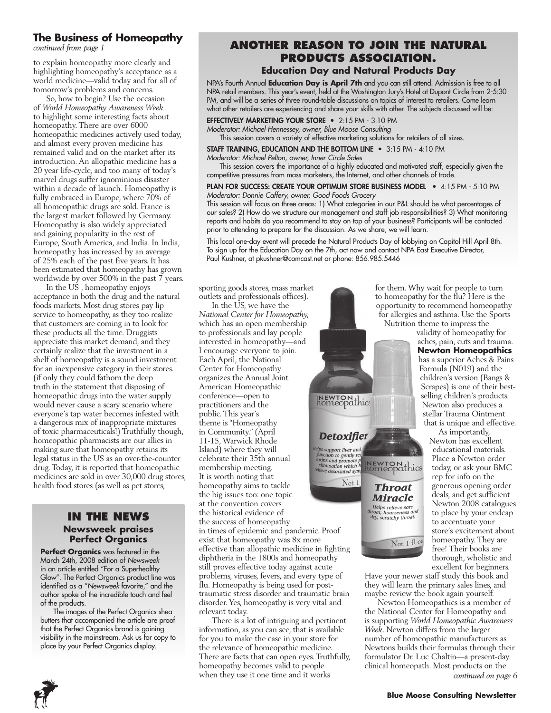### **The Business of Homeopathy**

*continued from page 1*

to explain homeopathy more clearly and highlighting homeopathy's acceptance as a world medicine—valid today and for all of tomorrow's problems and concerns.

So, how to begin? Use the occasion of *World Homeopathy Awareness Week* to highlight some interesting facts about homeopathy. There are over 6000 homeopathic medicines actively used today, and almost every proven medicine has remained valid and on the market after its introduction. An allopathic medicine has a 20 year life-cycle, and too many of today's marvel drugs suffer ignominious disaster within a decade of launch. Homeopathy is fully embraced in Europe, where 70% of all homeopathic drugs are sold. France is the largest market followed by Germany. Homeopathy is also widely appreciated and gaining popularity in the rest of Europe, South America, and India. In India, homeopathy has increased by an average of 25% each of the past five years. It has been estimated that homeopathy has grown worldwide by over 500% in the past  $\overline{7}$  years.

In the US , homeopathy enjoys acceptance in both the drug and the natural foods markets. Most drug stores pay lip service to homeopathy, as they too realize that customers are coming in to look for these products all the time. Druggists appreciate this market demand, and they certainly realize that the investment in a shelf of homeopathy is a sound investment for an inexpensive category in their stores. (if only they could fathom the deep truth in the statement that disposing of homeopathic drugs into the water supply would never cause a scary scenario where everyone's tap water becomes infested with a dangerous mix of inappropriate mixtures of toxic pharmaceuticals!) Truthfully though, homeopathic pharmacists are our allies in making sure that homeopathy retains its legal status in the US as an over-the-counter drug. Today, it is reported that homeopathic medicines are sold in over 30,000 drug stores, health food stores (as well as pet stores,

#### **In the News Newsweek praises Perfect Organics**

**Perfect Organics** was featured in the March 24th, 2008 edition of *Newsweek* in an article entitled "For a Superhealthy Glow". The Perfect Organics product line was identified as a "*Newsweek* favorite," and the author spoke of the incredible touch and feel of the products.

The images of the Perfect Organics shea butters that accompanied the article are proof that the Perfect Organics brand is gaining visibility in the mainstream. Ask us for copy to place by your Perfect Organics display.

# **Another Reason to Join the Natural Products Association.**

### **Education Day and Natural Products Day**

NPA's Fourth Annual **Education Day is April 7th** and you can still attend. Admission is free to all NPA retail members. This year's event, held at the Washington Jury's Hotel at Dupont Circle from 2-5:30 PM, and will be a series of three round-table discussions on topics of interest to retailers. Come learn what other retailers are experiencing and share your skills with other. The subjects discussed will be:

## EFFECTIVELY MARKETING YOUR STORE • 2:15 PM - 3:10 PM

*Moderator: Michael Hennessey, owner, Blue Moose Consulting*

This session covers a variety of effective marketing solutions for retailers of all sizes.

#### STAFF TRAINING, EDUCATION AND THE BOTTOM LINE • 3:15 PM - 4:10 PM *Moderator: Michael Pelton, owner, Inner Circle Sales*

This session covers the importance of a highly educated and motivated staff, especially given the competitive pressures from mass marketers, the Internet, and other channels of trade.

PLAN FOR SUCCESS: CREATE YOUR OPTIMUM STORE BUSINESS MODEL • 4:15 PM - 5:10 PM *Moderator: Donnie Caffery, owner, Good Foods Grocery* 

This session will focus on three areas: 1) What categories in our P&L should be what percentages of our sales? 2) How do we structure our management and staff job responsibilities? 3) What monitoring reports and habits do you recommend to stay on top of your business? Participants will be contacted prior to attending to prepare for the discussion. As we share, we will learn.

This local one-day event will precede the Natural Products Day of lobbying on Capitol Hill April 8th. To sign up for the Education Day on the 7th, act now and contact NPA East Executive Director, Paul Kushner, at pkushner@comcast.net or phone: 856.985.5446

sporting goods stores, mass market outlets and professionals offices).

In the US, we have the *National Center for Homeopathy,* which has an open membership to professionals and lay people interested in homeopathy—and I encourage everyone to join. Each April, the National Center for Homeopathy organizes the Annual Joint American Homeopathic conference—open to practitioners and the public. This year's theme is "Homeopathy in Community." (April 11-15, Warwick Rhode Island) where they will celebrate their 35th annual membership meeting. It is worth noting that homeopathy aims to tackle the big issues too: one topic at the convention covers the historical evidence of the success of homeopathy in times of epidemic and pandemic. Proof exist that homeopathy was 8x more effective than allopathic medicine in fighting diphtheria in the 1800s and homeopathy still proves effective today against acute problems, viruses, fevers, and every type of flu. Homeopathy is being used for posttraumatic stress disorder and traumatic brain disorder. Yes, homeopathy is very vital and relevant today.

There is a lot of intriguing and pertinent information, as you can see, that is available for you to make the case in your store for the relevance of homeopathic medicine. There are facts that can open eyes. Truthfully, homeopathy becomes valid to people when they use it one time and it works



Helps relieve sore<br>throat, hoarseness and<br>dry, scratchy throat.

 $\overline{\rm Net\ 1\ fl\ 0^z}$ 

for them. Why wait for people to turn to homeopathy for the flu? Here is the opportunity to recommend homeopathy for allergies and asthma. Use the Sports Nutrition theme to impress the

validity of homeopathy for aches, pain, cuts and trauma.

**Newton Homeopathics** has a superior Aches & Pains Formula (N019) and the children's version (Bangs & Scrapes) is one of their bestselling children's products. Newton also produces a stellar Trauma Ointment that is unique and effective.

As importantly, Newton has excellent educational materials. Place a Newton order today, or ask your BMC rep for info on the generous opening order deals, and get sufficient Newton 2008 catalogues to place by your endcap to accentuate your store's excitement about homeopathy. They are free! Their books are thorough, wholistic and excellent for beginners.

Have your newer staff study this book and they will learn the primary sales lines, and maybe review the book again yourself.

Newton Homeopathics is a member of the National Center for Homeopathy and is supporting *World Homeopathic Awareness Week*. Newton differs from the larger number of homeopathic manufacturers as Newtons builds their formulas through their formulator Dr. Luc Chaltin—a present-day clinical homeopath. Most products on the *continued on page 6*



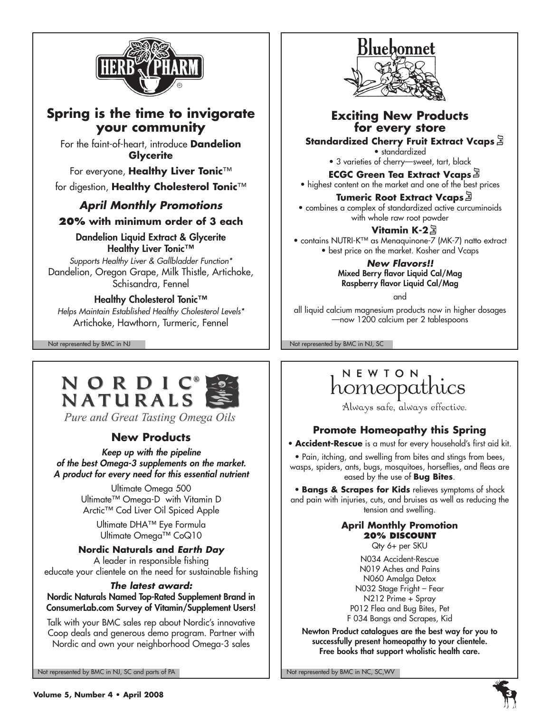

# **Spring is the time to invigorate your community**

For the faint-of-heart, introduce **Dandelion Glycerite**

For everyone, **Healthy Liver Tonic**™ for digestion, **Healthy Cholesterol Tonic**™

# *April Monthly Promotions*

## **20% with minimum order of 3 each**

Dandelion Liquid Extract & Glycerite Healthy Liver Tonic™

*Supports Healthy Liver & Gallbladder Function\** Dandelion, Oregon Grape, Milk Thistle, Artichoke, Schisandra, Fennel

## Healthy Cholesterol Tonic™

*Helps Maintain Established Healthy Cholesterol Levels\** Artichoke, Hawthorn, Turmeric, Fennel



## **Exciting New Products for every store**

**Standardized Cherry Fruit Extract Vcaps** • standardized

• 3 varieties of cherry—sweet, tart, black

**ECGC Green Tea Extract Vcaps** • highest content on the market and one of the best prices

## **Tumeric Root Extract Vcaps**

• combines a complex of standardized active curcuminoids with whole raw root powder

**Vitamin K-2**

• contains NUTRI-K™ as Menaquinone-7 (MK-7) natto extract • best price on the market. Kosher and Vcaps

> *New Flavors!!* Mixed Berry flavor Liquid Cal/Mag Raspberry flavor Liquid Cal/Mag

> > and

all liquid calcium magnesium products now in higher dosages —now 1200 calcium per 2 tablespoons

Not represented by BMC in NJ Not represented by BMC in NJ, SC



Pure and Great Tasting Omega Oils

# **New Products**

*Keep up with the pipeline of the best Omega-3 supplements on the market. A product for every need for this essential nutrient*

> Ultimate Omega 500 Ultimate™ Omega-D with Vitamin D Arctic™ Cod Liver Oil Spiced Apple

Ultimate DHA™ Eye Formula Ultimate Omega™ CoQ10

## **Nordic Naturals and** *Earth Day*

A leader in responsible fishing educate your clientele on the need for sustainable fishing

### *The latest award:*

Nordic Naturals Named Top-Rated Supplement Brand in ConsumerLab.com Survey of Vitamin/Supplement Users!

Talk with your BMC sales rep about Nordic's innovative Coop deals and generous demo program. Partner with Nordic and own your neighborhood Omega-3 sales

Not represented by BMC in NJ, SC and parts of PA Note that the Note of Not represented by BMC in NC, SC, WV

# NEWTON homeopathics

Always safe, always effective.

## **Promote Homeopathy this Spring**

• **Accident-Rescue** is a must for every household's first aid kit.

• Pain, itching, and swelling from bites and stings from bees, wasps, spiders, ants, bugs, mosquitoes, horseflies, and fleas are eased by the use of **Bug Bites**.

• **Bangs & Scrapes for Kids** relieves symptoms of shock and pain with injuries, cuts, and bruises as well as reducing the tension and swelling.

#### **April Monthly Promotion 20% discount**

Qty 6+ per SKU

N034 Accident-Rescue N019 Aches and Pains N060 Amalga Detox N032 Stage Fright – Fear N212 Prime + Spray P012 Flea and Bug Bites, Pet F 034 Bangs and Scrapes, Kid

Newton Product catalogues are the best way for you to successfully present homeopathy to your clientele. Free books that support wholistic health care.

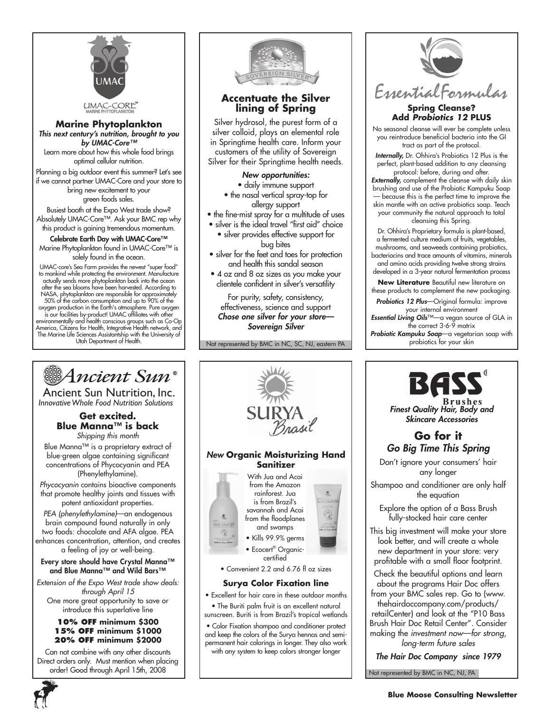

**Marine Phytoplankton** *This next century's nutrition, brought to you by UMAC-Core™* Learn more about how this whole food brings

optimal cellular nutrition. Planning a big outdoor event this summer? Let's see if we cannot partner UMAC-Core and your store to bring new excitement to your

green foods sales.

Busiest booth at the Expo West trade show? Absolutely UMAC-Core™. Ask your BMC rep why this product is gaining tremendous momentum.

Celebrate Earth Day with UMAC-Core™ Marine Phytoplankton found in UMAC-Core™ is solely found in the ocean.

UMAC-core's Sea Farm provides the newest "super food" to mankind while protecting the environment. Manufacture actually sends more phytoplankton back into the ocean after the sea blooms have been harvested. According to NASA, phytoplankton are responsible for approximately<br>50% of the carbon consumption and up to 90% of the<br>oxygen production in the Earth's atmosphere. Pure oxygen<br>is our facilities by-product! UMAC affiliates with other<br>env The Marine Life Sciences Assistantship with the University of Utah Department of Health.



#### **Accentuate the Silver lining of Spring**

Silver hydrosol, the purest form of a silver colloid, plays an elemental role in Springtime health care. Inform your customers of the utility of Sovereign Silver for their Springtime health needs.

*New opportunities:*

- daily immune support • the nasal vertical spray-top for allergy support
- the fine-mist spray for a multitude of uses
- silver is the ideal travel "first aid" choice

• silver provides effective support for bug bites

- silver for the feet and toes for protection and health this sandal season
- 4 oz and 8 oz sizes as you make your clientele confident in silver's versatility

For purity, safety, consistency, effectiveness, science and support *Chose one silver for your store— Sovereign Silver*

Not represented by BMC in NC, SC, NJ, eastern PA



#### **Spring Cleanse? Add** *Probiotics 12* **PLUS**

No seasonal cleanse will ever be complete unless you reintroduce beneficial bacteria into the GI tract as part of the protocol.

*Internally,* Dr. Ohhira's Probiotics 12 Plus is the perfect, plant-based addition to any cleansing protocol: before, during and after.

*Externally,* complement the cleanse with daily skin brushing and use of the Probiotic Kampuku Soap — because this is the perfect time to improve the skin mantle with an active probiotics soap. Teach your community the natural approach to total cleansing this Spring.

Dr. Ohhira's Proprietary formula is plant-based, a fermented culture medium of fruits, vegetables, mushrooms, and seaweeds containing probiotics, bacteriocins and trace amounts of vitamins, minerals and amino acids providing twelve strong strains developed in a 3-year natural fermentation process

**New Literature** Beautiful new literature on these products to complement the new packaging.

*Probiotics 12 Plus*—Original formula: improve your internal environment

*Essential Living Oils*™—a vegan source of GLA in the correct 3-6-9 matrix

*Probiotic Kampuku Soap*—a vegetarian soap with probiotics for your skin



Ancient Sun Nutrition, Inc. *InnovativeWhole Food Nutrition Solutions*

#### **Get excited. Blue Manna™ is back** *Shipping this month*

Blue Manna™ is a proprietary extract of blue-green algae containing significant concentrations of Phycocyanin and PEA (Phenylethylamine).

*Phycocyanin* contains bioactive components that promote healthy joints and tissues with potent antioxidant properties.

*PEA (phenylethylamine)*—an endogenous brain compound found naturally in only two foods: chocolate and AFA algae. PEA enhances concentration, attention, and creates a feeling of joy or well-being.

Every store should have Crystal Manna™ and Blue Manna™ and Wild Bars™

*Extension of the Expo West trade show deals: through April 15* One more great opportunity to save or introduce this superlative line

#### **10% off minimum \$300 15% off minimum \$1000 20% off minimum \$2000**

Can not combine with any other discounts Direct orders only. Must mention when placing order! Good through April 15th, 2008



- Excellent for hair care in these outdoor months
- The Buriti palm fruit is an excellent natural sunscreen. Buriti is from Brazil's tropical wetlands

• Color Fixation shampoo and conditioner protect and keep the colors of the Surya hennas and semipermanent hair colorings in longer. They also work with any system to keep colors stronger longer



*long-term future sales*

*The Hair Doc Company since 1979*

Not represented by BMC in NC, NJ, PA

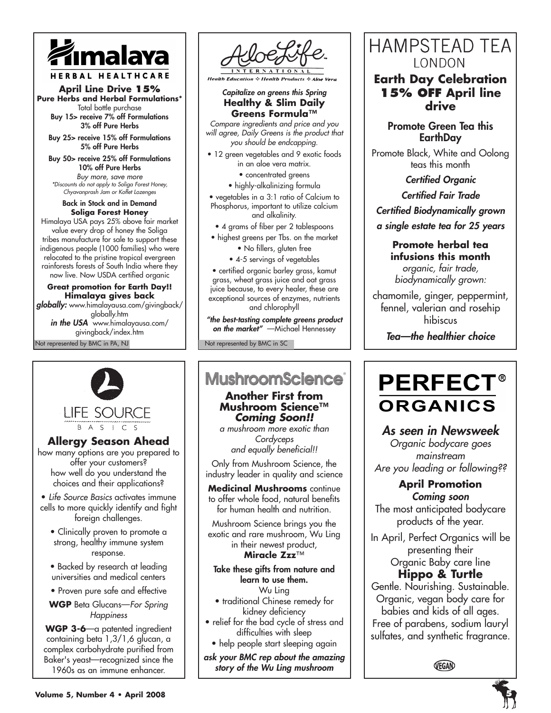

#### HERBAL HEALTHCARE

#### **April Line Drive 15% Pure Herbs and Herbal Formulations\***

Total bottle purchase Buy 15> receive 7% off Formulations 3% off Pure Herbs

Buy 25> receive 15% off Formulations 5% off Pure Herbs

Buy 50> receive 25% off Formulations 10% off Pure Herbs *Buy more, save more \*Discounts do not apply to Soliga Forest Honey, Chyavanprash Jam or Koflet Lozenges* 

Back in Stock and in Demand **Soliga Forest Honey** Himalaya USA pays 25% above fair market value every drop of honey the Soliga tribes manufacture for sale to support these indigenous people (1000 families) who were

relocated to the pristine tropical evergreen rainforests forests of South India where they now live. Now USDA certified organic

Not represented by BMC in PA, NJ **Great promotion for Earth Day!! Himalaya gives back** *globally:* www.himalayausa.com/givingback/ globally.htm *in the USA* www.himalayausa.com/ givingback/index.htm

**Allergy Season Ahead** how many options are you prepared to offer your customers? how well do you understand the choices and their applications? • *Life Source Basics* activates immune cells to more quickly identify and fight foreign challenges. • Clinically proven to promote a strong, healthy immune system response. • Backed by research at leading universities and medical centers • Proven pure safe and effective **WGP** Beta Glucans—*For Spring Happiness* **WGP 3-6**—a patented ingredient containing beta 1,3/1,6 glucan, a complex carbohydrate purified from Baker's yeast—recognized since the 1960s as an immune enhancer.

**LIFE SOURCE B** A S | C S



**Health Education & Health Products & Aloe** 

#### *Capitalize on greens this Spring* **Healthy & Slim Daily Greens Formula™**

*Compare ingredients and price and you will agree, Daily Greens is the product that you should be endcapping.*

- 12 green vegetables and 9 exotic foods
	- in an aloe vera matrix.
	- concentrated greens
	- highly-alkalinizing formula

• vegetables in a 3:1 ratio of Calcium to Phosphorus, important to utilize calcium and alkalinity.

- 4 grams of fiber per 2 tablespoons
- highest greens per Tbs. on the market
	- No fillers, gluten free • 4-5 servings of vegetables

• certified organic barley grass, kamut

grass, wheat grass juice and oat grass juice because, to every healer, these are exceptional sources of enzymes, nutrients and chlorophyll

*"the best-tasting complete greens product on the market"* —Michael Hennessey

Not represented by BMC in SC

# **MushroomScience**®

**Another First from Mushroom Science™**  *Coming Soon!!*

*a mushroom more exotic than Cordyceps and equally beneficial!!* 

Only from Mushroom Science, the industry leader in quality and science

**Medicinal Mushrooms** continue to offer whole food, natural benefits for human health and nutrition.

Mushroom Science brings you the exotic and rare mushroom, Wu Ling in their newest product, **Miracle Zzz**™

Take these gifts from nature and learn to use them.

Wu Ling • traditional Chinese remedy for kidney deficiency

- relief for the bad cycle of stress and difficulties with sleep
	- help people start sleeping again

*ask your BMC rep about the amazing story of the Wu Ling mushroom*

# **HAMPSTEAD TEA** LONDON

**Earth Day Celebration 15% off April line drive** 

## Promote Green Tea this **EarthDay**

Promote Black, White and Oolong teas this month

> *Certified Organic Certified Fair Trade*

*Certified Biodynamically grown*

*a single estate tea for 25 years*

**Promote herbal tea infusions this month** *organic, fair trade, biodynamically grown:*

chamomile, ginger, peppermint, fennel, valerian and rosehip hibiscus

*Tea—the healthier choice*

# **PERFECT®** ORGANICS

# *As seen in Newsweek*

*Organic bodycare goes mainstream Are you leading or following??*

#### **April Promotion** *Coming soon*

The most anticipated bodycare products of the year.

In April, Perfect Organics will be presenting their Organic Baby care line

# **Hippo & Turtle**

Gentle. Nourishing. Sustainable. Organic, vegan body care for babies and kids of all ages. Free of parabens, sodium lauryl sulfates, and synthetic fragrance.

VEGAN

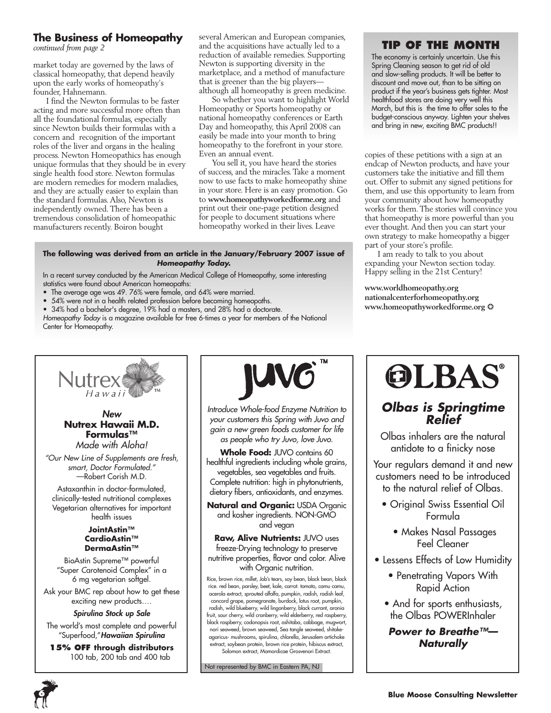#### **The Business of Homeopathy**

*continued from page 2*

market today are governed by the laws of classical homeopathy, that depend heavily upon the early works of homeopathy's founder, Hahnemann.

I find the Newton formulas to be faster acting and more successful more often than all the foundational formulas, especially since Newton builds their formulas with a concern and recognition of the important roles of the liver and organs in the healing process. Newton Homeopathics has enough unique formulas that they should be in every single health food store. Newton formulas are modern remedies for modern maladies, and they are actually easier to explain than the standard formulas. Also, Newton is independently owned. There has been a tremendous consolidation of homeopathic manufacturers recently. Boiron bought

several American and European companies, and the acquisitions have actually led to a reduction of available remedies. Supporting Newton is supporting diversity in the marketplace, and a method of manufacture that is greener than the big players although all homeopathy is green medicine.

So whether you want to highlight World Homeopathy or Sports homeopathy or national homeopathy conferences or Earth Day and homeopathy, this April 2008 can easily be made into your month to bring homeopathy to the forefront in your store. Even an annual event.

You sell it, you have heard the stories of success, and the miracles. Take a moment now to use facts to make homeopathy shine in your store. Here is an easy promotion. Go to **www.homeopathyworkedforme.org** and print out their one-page petition designed for people to document situations where homeopathy worked in their lives. Leave

#### **The following was derived from an article in the January/February 2007 issue of**  *Homeopathy Today.*

In a recent survey conducted by the American Medical College of Homeopathy, some interesting statistics were found about American homeopaths:

- The average age was 49. 76% were female, and 64% were married.
- 54% were not in a health related profession before becoming homeopaths.
- 34% had a bachelor's degree, 19% had a masters, and 28% had a doctorate.

*Homeopathy Today* is a magazine available for free 6-times a year for members of the National Center for Homeopathy.

## **Tip of the Month**

The economy is certainly uncertain. Use this Spring Cleaning season to get rid of old and slow-selling products. It will be better to discount and move out, than to be sitting on product if the year's business gets tighter. Most healthfood stores are doing very well this March, but this is the time to offer sales to the budget-conscious anyway. Lighten your shelves and bring in new, exciting BMC products!!

copies of these petitions with a sign at an endcap of Newton products, and have your customers take the initiative and fill them out. Offer to submit any signed petitions for them, and use this opportunity to learn from your community about how homeopathy works for them. The stories will convince you that homeopathy is more powerful than you ever thought. And then you can start your own strategy to make homeopathy a bigger part of your store's profile.

I am ready to talk to you about expanding your Newton section today. Happy selling in the 21st Century!

**www.worldhomeopathy.org nationalcenterforhomeopathy.org www.homeopathyworkedforme.org** ❂



#### *New* **Nutrex Hawaii M.D. Formulas™** *Made with Aloha!*

*"Our New Line of Supplements are fresh, smart, Doctor Formulated."* —Robert Corish M.D.

Astaxanthin in doctor-formulated, clinically-tested nutritional complexes Vegetarian alternatives for important health issues

#### **JointAstin™ CardioAstin™ DermaAstin™**

BioAstin Supreme™ powerful "Super *C*arotenoid Complex" in a 6 mg vegetarian softgel.

Ask your BMC rep about how to get these exciting new products….

#### *Spirulina Stock up Sale*

The world's most complete and powerful "Superfood,"*Hawaiian Spirulina*

**15% off through distributors** 100 tab, 200 tab and 400 tab



*Introduce Whole-food Enzyme Nutrition to your customers this Spring with Juvo and gain a new green foods customer for life as people who try Juvo, love Juvo.*

Whole Food: JUVO contains 60 healthful ingredients including whole grains, vegetables, sea vegetables and fruits. Complete nutrition: high in phytonutrients, dietary fibers, antioxidants, and enzymes.

**Natural and Organic:** USDA Organic and kosher ingredients. NON-GMO and vegan

**Raw, Alive Nutrients:** JUVO uses freeze-Drying technology to preserve nutritive properties, flavor and color. Alive with Organic nutrition.

Rice, brown rice, millet, Job's tears, soy bean, black bean, black rice. red bean, parsley, beet, kale, carrot. tomato, camu camu, acerola extract, sprouted alfalfa, pumpkin, radish, radish leaf, concord grape, pomegranate, burdock, lotus root, pumpkin, radish, wild blueberry, wild lingonberry, black currant, aronia fruit, sour cherry, wild cranberry, wild elderberry, red raspberry, black raspberry, codonopsis root, ashitaba, cabbage, mugwort, nori seaweed, brown seaweed, Sea tangle seaweed, shitakeagaricus- mushrooms, spirulina, chlorella, Jerusalem artichoke extract, soybean protein, brown rice protein, hibiscus extract, Solomon extract, Momordicae Grosvenori Extract.

Not represented by BMC in Eastern PA, NJ



# *Olbas is Springtime Relief*

Olbas inhalers are the natural antidote to a finicky nose

Your regulars demand it and new customers need to be introduced to the natural relief of Olbas.

- Original Swiss Essential Oil Formula
	- Makes Nasal Passages Feel Cleaner
- Lessens Effects of Low Humidity
	- Penetrating Vapors With Rapid Action
	- And for sports enthusiasts, the Olbas POWERInhaler

*Power to Breathe™— Naturally*

**6**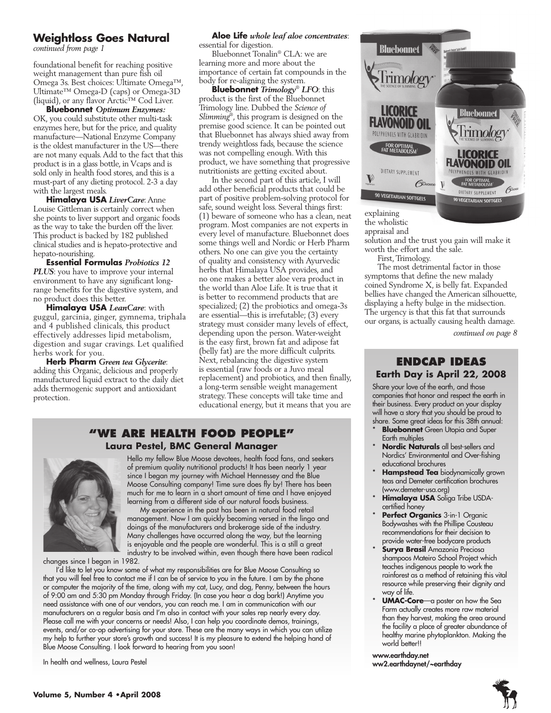### **Weightloss Goes Natural**

*continued from page 1*

foundational benefit for reaching positive weight management than pure fish oil Omega 3s. Best choices: Ultimate Omega™, Ultimate™ Omega-D (caps) or Omega-3D (liquid), or any flavor Arctic™ Cod Liver.

**Bluebonnet** *Optimum Enzymes:*  OK, you could substitute other multi-task enzymes here, but for the price, and quality manufacture—National Enzyme Company is the oldest manufacturer in the US—there are not many equals. Add to the fact that this product is in a glass bottle, in Vcaps and is sold only in health food stores, and this is a must-part of any dieting protocol. 2-3 a day with the largest meals.

**Himalaya USA** *LiverCare*: Anne Louise Gittleman is certainly correct when she points to liver support and organic foods as the way to take the burden off the liver. This product is backed by 182 published clinical studies and is hepato-protective and hepato-nourishing.

**Essential Formulas** *Probiotics 12 PLUS*: you have to improve your internal environment to have any significant longrange benefits for the digestive system, and no product does this better.

**Himalaya USA** *LeanCare*: with guggul, garcinia, ginger, gymnema, triphala and 4 published clinicals, this product effectively addresses lipid metabolism, digestion and sugar cravings. Let qualified herbs work for you.

**Herb Pharm** *Green tea Glycerite*: adding this Organic, delicious and properly manufactured liquid extract to the daily diet adds thermogenic support and antioxidant protection.

# **Aloe Life** *whole leaf aloe concentrates*:

essential for digestion.

Bluebonnet Tonalin® CLA: we are learning more and more about the importance of certain fat compounds in the body for re-aligning the system.

**Bluebonnet** *Trimology*®  *LFO*: this product is the first of the Bluebonnet Trimology line. Dubbed the *Science of Slimming*® , this program is designed on the premise good science. It can be pointed out that Bluebonnet has always shied away from trendy weightloss fads, because the science was not compelling enough. With this product, we have something that progressive nutritionists are getting excited about.

In the second part of this article, I will add other beneficial products that could be part of positive problem-solving protocol for safe, sound weight loss. Several things first: (1) beware of someone who has a clean, neat program. Most companies are not experts in every level of manufacture. Bluebonnet does some things well and Nordic or Herb Pharm others. No one can give you the certainty of quality and consistency with Ayurvedic herbs that Himalaya USA provides, and no one makes a better aloe vera product in the world than Aloe Life. It is true that it is better to recommend products that are specialized; (2) the probiotics and omega-3s are essential—this is irrefutable; (3) every strategy must consider many levels of effect, depending upon the person. Water-weight is the easy first, brown fat and adipose fat (belly fat) are the more difficult culprits. Next, rebalancing the digestive system is essential (raw foods or a Juvo meal replacement) and probiotics, and then finally, a long-term sensible weight management strategy. These concepts will take time and educational energy, but it means that you are

## **"We Are health food people" Laura Pestel, BMC General Manager**



Hello my fellow Blue Moose devotees, health food fans, and seekers of premium quality nutritional products! It has been nearly 1 year since I began my journey with Michael Hennessey and the Blue Moose Consulting company! Time sure does fly by! There has been much for me to learn in a short amount of time and I have enjoyed learning from a different side of our natural foods business.

My experience in the past has been in natural food retail management. Now I am quickly becoming versed in the lingo and doings of the manufacturers and brokerage side of the industry. Many challenges have occurred along the way, but the learning is enjoyable and the people are wonderful. This is a still a great industry to be involved within, even though there have been radical

changes since I began in 1982.

I'd like to let you know some of what my responsibilities are for Blue Moose Consulting so that you will feel free to contact me if I can be of service to you in the future. I am by the phone or computer the majority of the time, along with my cat, Lucy, and dog, Penny, between the hours of 9:00 am and 5:30 pm Monday through Friday. (In case you hear a dog bark!) Anytime you need assistance with one of our vendors, you can reach me. I am in communication with our manufacturers on a regular basis and I'm also in contact with your sales rep nearly every day. Please call me with your concerns or needs! Also, I can help you coordinate demos, trainings, events, and/or co-op advertising for your store. These are the many ways in which you can utilize my help to further your store's growth and success! It is my pleasure to extend the helping hand of Blue Moose Consulting. I look forward to hearing from you soon!

In health and wellness, Laura Pestel



explaining the wholistic

appraisal and

solution and the trust you gain will make it worth the effort and the sale.

First, Trimology.

The most detrimental factor in those symptoms that define the new malady coined Syndrome X, is belly fat. Expanded bellies have changed the American silhouette, displaying a hefty bulge in the midsection. The urgency is that this fat that surrounds our organs, is actually causing health damage.

*continued on page 8*

#### **Endcap Ideas Earth Day is April 22, 2008**

Share your love of the earth, and those companies that honor and respect the earth in their business. Every product on your display will have a story that you should be proud to share. Some great ideas for this 38th annual:

- **Bluebonnet** Green Utopia and Super Earth multiples
- Nordic Naturals all best-sellers and Nordics' Environmental and Over-fishing educational brochures
- **Hampstead Tea** biodynamically grown teas and Demeter certification brochures (www.demeter-usa.org)
- **Himalaya USA** Soliga Tribe USDAcertified honey
- \* **Perfect Organics** 3-in-1 Organic Bodywashes with the Phillipe Cousteau recommendations for their decision to provide water-free bodycare products
- **Surya Brasil** Amazonia Preciosa shampoos Mateiro School Project which teaches indigenous people to work the rainforest as a method of retaining this vital resource while preserving their dignity and way of life.
- **UMAC-Core**—a poster on how the Sea Farm actually creates more raw material than they harvest, making the area around the facility a place of greater abundance of healthy marine phytoplankton. Making the world better!!

www.earthday.net ww2.earthdaynet/~earthday